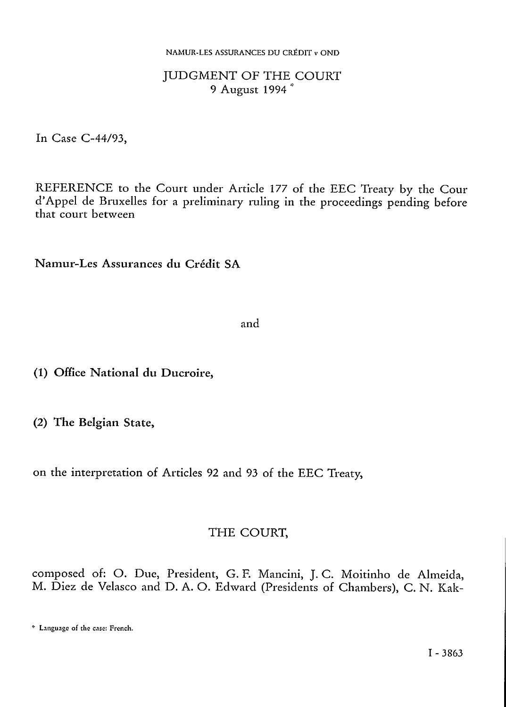#### JUDGMENT OF THE COURT <sup>9</sup> August <sup>1994</sup> \*

In Case C-44/93,

REFERENCE to the Court under Article 177 of the EEC Treaty by the Cour d'Appel de Bruxelles for a preliminary ruling in the proceedings pending before that court between

Namur-Les Assurances du Crédit SA

and

(1) Office National du Ducroire,

(2) The Belgian State,

on the interpretation of Articles 92 and 93 of the EEC Treaty,

#### THE COURT,

composed of: O. Due, President, G. E Mancini, J. C. Moitinho de Almeida, M. Diez de Velasco and D. A. O. Edward (Presidents of Chambers), C. N. Kak-

<sup>\*</sup> Language of the case: French.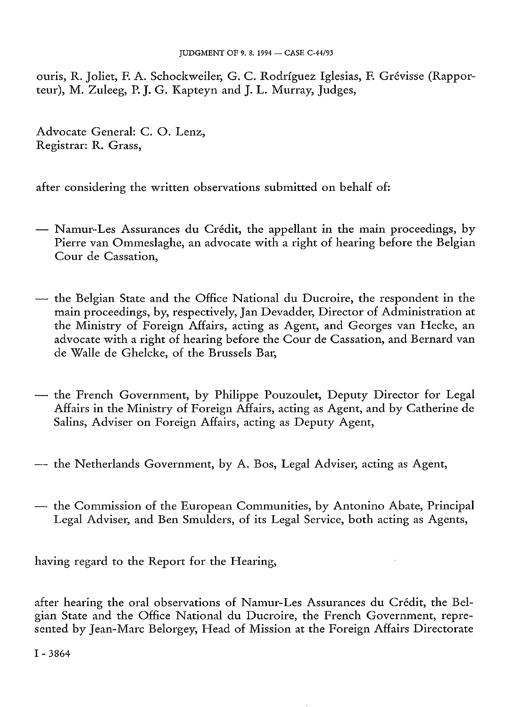ouris, R. Joliet, F. A. Schockweiler, G. C. Rodríguez Iglesias, F. Grévisse (Rapporteur), M. Zuleeg, P. J. G. Kapteyn and J. L. Murray, Judges,

Advocate General: C. O. Lenz, Registrar: R. Grass,

after considering the written observations submitted on behalf of:

- Namur-Les Assurances du Crédit, the appellant in the main proceedings, by Pierre van Ommeslaghe, an advocate with a right of hearing before the Belgian Cour de Cassation,
- the Belgian State and the Office National du Ducroire, the respondent in the main proceedings, by, respectively, Jan Devadder, Director of Administration at the Ministry of Foreign Affairs, acting as Agent, and Georges van Hecke, an advocate with a right of hearing before the Cour de Cassation, and Bernard van de Walle de Ghelcke, of the Brussels Bar,
- the French Government, by Philippe Pouzoulet, Deputy Director for Legal Affairs in the Ministry of Foreign Affairs, acting as Agent, and by Catherine de Salins, Adviser on Foreign Affairs, acting as Deputy Agent,
- the Netherlands Government, by A. Bos, Legal Adviser, acting as Agent,
- the Commission of the European Communities, by Antonino Abate, Principal Legal Adviser, and Ben Smulders, of its Legal Service, both acting as Agents,

having regard to the Report for the Hearing,

after hearing the oral observations of Namur-Les Assurances du Crédit, the Belgian State and the Office National du Ducroire, the French Government, represented by Jean-Marc Belorgey, Head of Mission at the Foreign Affairs Directorate

I - <sup>3864</sup>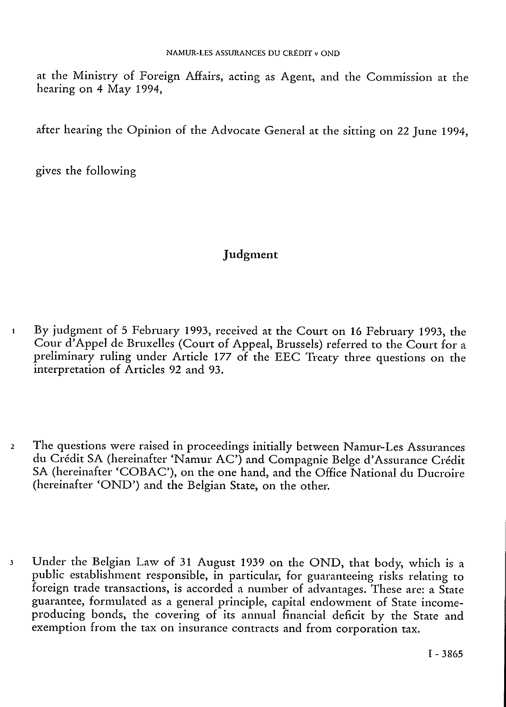at the Ministry of Foreign Affairs, acting as Agent, and the Commission at the hearing on 4 May 1994,

after hearing the Opinion of the Advocate General at the sitting on 22 June 1994,

gives the following

# Judgment

- 1 By judgment of 5 February 1993, received at the Court on 16 February 1993, the Cour d'Appel de Bruxelles (Court of Appeal, Brussels) referred to the Court for a preliminary ruling under Article 177 of the EEC Treaty three questions on the interpretation of Articles 92 and 93.
- *2* The questions were raised in proceedings initially between Namur-Les Assurances du Crédit SA (hereinafter 'Namur AC') and Compagnie Belge d'Assurance Crédit SA (hereinafter 'COBAC'), on the one hand, and the Office National du Ducroire (hereinafter 'OND') and the Belgian State, on the other.
- 3 Under the Belgian Law of 31 August 1939 on the OND, that body, which is a public establishment responsible, in particular, for guaranteeing risks relating to foreign trade transactions, is accorded a number of advantages. These are: a State guarantee, formulated as a general principle, capital endowment of State incomeproducing bonds, the covering of its annual financial deficit by the State and exemption from the tax on insurance contracts and from corporation tax.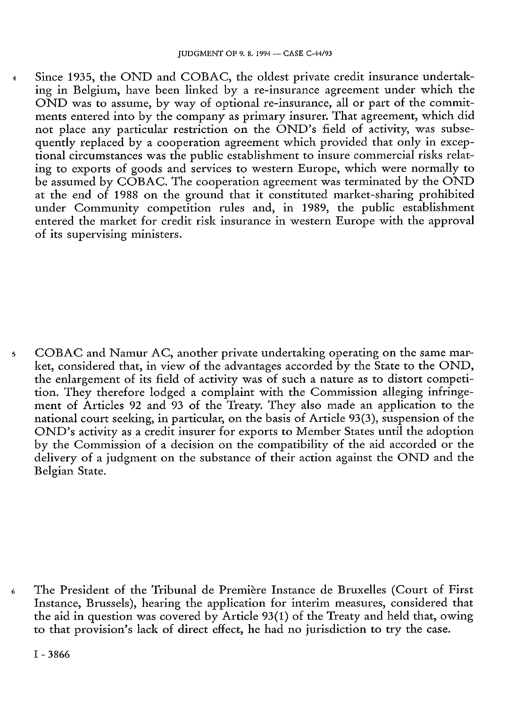4 Since 1935, the OND and COBAC, the oldest private credit insurance undertaking in Belgium, have been linked by a re-insurance agreement under which the OND was to assume, by way of optional re-insurance, all or part of the commitments entered into by the company as primary insurer. That agreement, which did not place any particular restriction on the OND's field of activity, was subsequently replaced by a cooperation agreement which provided that only in exceptional circumstances was the public establishment to insure commercial risks relating to exports of goods and services to western Europe, which were normally to be assumed by COBAC. The cooperation agreement was terminated by the OND at the end of 1988 on the ground that it constituted market-sharing prohibited under Community competition rules and, in 1989, the public establishment entered the market for credit risk insurance in western Europe with the approval of its supervising ministers.

5 COBAC and Namur AC, another private undertaking operating on the same market, considered that, in view of the advantages accorded by the State to the OND, the enlargement of its field of activity was of such a nature as to distort competition. They therefore lodged a complaint with the Commission alleging infringement of Articles 92 and 93 of the Treaty. They also made an application to the national court seeking, in particular, on the basis of Article 93(3), suspension of the OND's activity as a credit insurer for exports to Member States until the adoption by the Commission of a decision on the compatibility of the aid accorded or the delivery of a judgment on the substance of their action against the OND and the Belgian State.

6 The President of the Tribunal de Première Instance de Bruxelles (Court of First Instance, Brussels), hearing the application for interim measures, considered that the aid in question was covered by Article 93(1) of the Treaty and held that, owing to that provision's lack of direct effect, he had no jurisdiction to try the case.

I - <sup>3866</sup>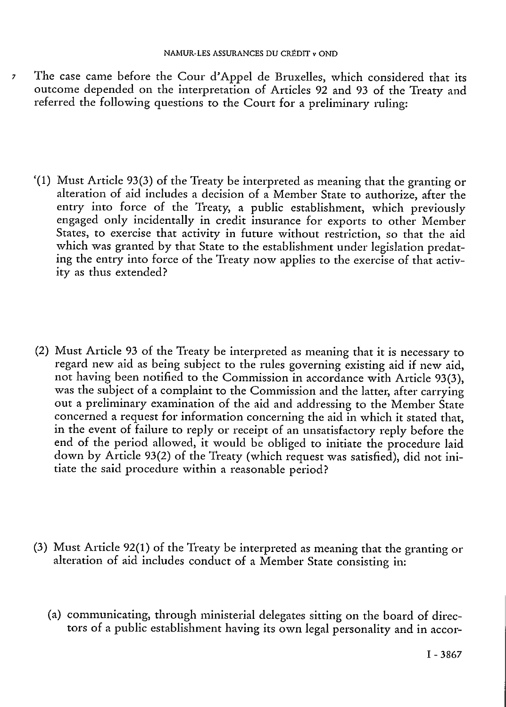- 7 The case came before the Cour d'Appel de Bruxelles, which considered that its outcome depended on the interpretation of Articles 92 and 93 of the Treaty and referred the following questions to the Court for a preliminary ruling:
	- '(1) Must Article 93(3) of the Treaty be interpreted as meaning that the granting or alteration of aid includes a decision of a Member State to authorize, after the entry into force of the Treaty, a public establishment, which previously engaged only incidentally in credit insurance for exports to other Member States, to exercise that activity in future without restriction, so that the aid which was granted by that State to the establishment under legislation predating the entry into force of the Treaty now applies to the exercise of that activity as thus extended?
	- (2) Must Article 93 of the Treaty be interpreted as meaning that it is necessary to regard new aid as being subject to the rules governing existing aid if new aid, not having been notified to the Commission in accordance with Article 93(3), was the subject of a complaint to the Commission and the latter, after carrying out a preliminary examination of the aid and addressing to the Member State concerned a request for information concerning the aid in which it stated that, in the event of failure to reply or receipt of an unsatisfactory reply before the end of the period allowed, it would be obliged to initiate the procedure laid down by Article 93(2) of the Treaty (which request was satisfied), did not initiate the said procedure within a reasonable period?
	- (3) Must Article 92(1) of the Treaty be interpreted as meaning that the granting or alteration of aid includes conduct of a Member State consisting in:
		- (a) communicating, through ministerial delegates sitting on the board of directors of a public establishment having its own legal personality and in accor-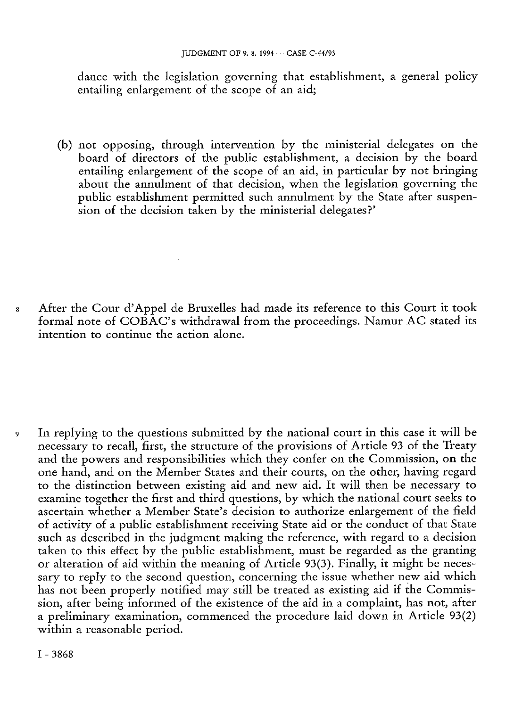dance with the legislation governing that establishment, a general policy entailing enlargement of the scope of an aid;

(b) not opposing, through intervention by the ministerial delegates on the board of directors of the public establishment, a decision by the board entailing enlargement of the scope of an aid, in particular by not bringing about the annulment of that decision, when the legislation governing the public establishment permitted such annulment by the State after suspension of the decision taken by the ministerial delegates?'

8 After the Cour d'Appel de Bruxelles had made its reference to this Court it took formal note of COBAC's withdrawal from the proceedings. Namur AC stated its intention to continue the action alone.

9 In replying to the questions submitted by the national court in this case it will be necessary to recall, first, the structure of the provisions of Article 93 of the Treaty and the powers and responsibilities which they confer on the Commission, on the one hand, and on the Member States and their courts, on the other, having regard to the distinction between existing aid and new aid. It will then be necessary to examine together the first and third questions, by which the national court seeks to ascertain whether a Member State's decision to authorize enlargement of the field of activity of a public establishment receiving State aid or the conduct of that State such as described in the judgment making the reference, with regard to a decision taken to this effect by the public establishment, must be regarded as the granting or alteration of aid within the meaning of Article 93(3). Finally, it might be necessary to reply to the second question, concerning the issue whether new aid which has not been properly notified may still be treated as existing aid if the Commission, after being informed of the existence of the aid in a complaint, has not, after a preliminary examination, commenced the procedure laid down in Article 93(2) within a reasonable period.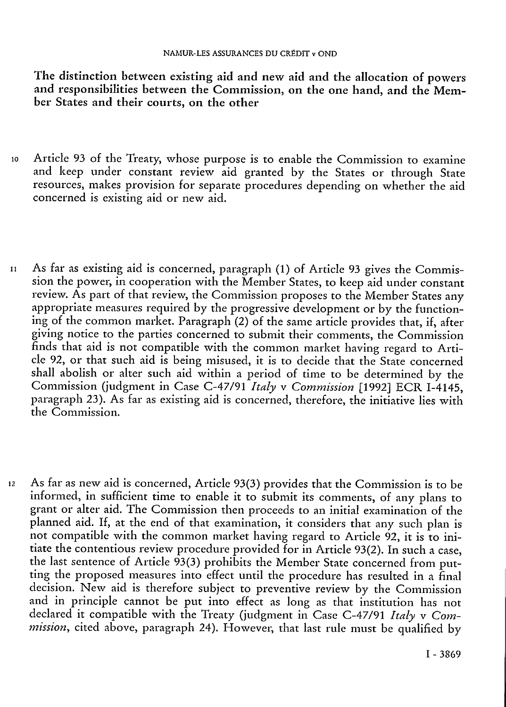The distinction between existing aid and new aid and the allocation of powers and responsibilities between the Commission, on the one hand, and the Member States and their courts, on the other

- <sup>10</sup> Article 93 of the Treaty, whose purpose is to enable the Commission to examine and keep under constant review aid granted by the States or through State resources, makes provision for separate procedures depending on whether the aid concerned is existing aid or new aid.
- 11 As far as existing aid is concerned, paragraph (1) of Article <sup>93</sup> gives the Commission the power, in cooperation with the Member States, to keep aid under constant review. As part of that review, the Commission proposes to the Member States any appropriate measures required by the progressive development or by the functioning of the common market. Paragraph (2) of the same article provides that, if, after giving notice to the parties concerned to submit their comments, the Commission finds that aid is not compatible with the common market having regard to Article 92, or that such aid is being misused, it is to decide that the State concerned shall abolish or alter such aid within a period of time to be determined by the Commission (judgment in Case C-47/91 *Italy* v *Commission* [1992] ECR I-4145, paragraph 23). As far as existing aid is concerned, therefore, the initiative lies with the Commission.
- 12 As far as new aid is concerned, Article 93(3) provides that the Commission is to be informed, in sufficient time to enable it to submit its comments, of any plans to grant or alter aid. The Commission then proceeds to an initial examination of the planned aid. If, at the end of that examination, it considers that any such plan is not compatible with the common market having regard to Article 92, it is to initiate the contentious review procedure provided for in Article 93(2). In such a case, the last sentence of Article 93(3) prohibits the Member State concerned from putting the proposed measures into effect until the procedure has resulted in a final decision. New aid is therefore subject to preventive review by the Commission and in principle cannot be put into effect as long as that institution has not declared it compatible with the Treaty (judgment in Case C-47/91 *Italy* v *Commission*, cited above, paragraph 24). However, that last rule must be qualified by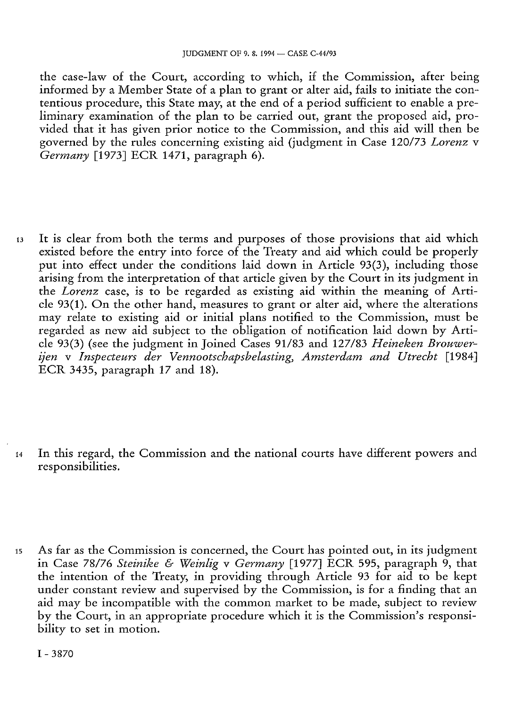the case-law of the Court, according to which, if the Commission, after being informed by a Member State of a plan to grant or alter aid, fails to initiate the contentious procedure, this State may, at the end of a period sufficient to enable a preliminary examination of the plan to be carried out, grant the proposed aid, provided that it has given prior notice to the Commission, and this aid will then be governed by the rules concerning existing aid (judgment in Case 120/73 *Lorenz* v *Germany* [1973] ECR 1471, paragraph 6).

- <sup>13</sup> It is clear from both the terms and purposes of those provisions that aid which existed before the entry into force of the Treaty and aid which could be properly put into effect under the conditions laid down in Article 93(3), including those arising from the interpretation of that article given by the Court in its judgment in the *Lorenz* case, is to be regarded as existing aid within the meaning of Article 93(1). On the other hand, measures to grant or alter aid, where the alterations may relate to existing aid or initial plans notified to the Commission, must be regarded as new aid subject to the obligation of notification laid down by Article 93(3) (see the judgment in Joined Cases 91/83 and 127/83 *Heineken Brouwerijen* v *Inspecteurs der Vennootschapsbelasting, Amsterdam and Utrecht* [1984] ECR 3435, paragraph 17 and 18).
- <sup>14</sup> In this regard, the Commission and the national courts have different powers and responsibilities.
- 15 As far as the Commission is concerned, the Court has pointed out, in its judgment in Case 78/76 *Steinike & Weinlig* v *Germany* [1977] ECR 595, paragraph 9, that the intention of the Treaty, in providing through Article 93 for aid to be kept under constant review and supervised by the Commission, is for a finding that an aid may be incompatible with the common market to be made, subject to review by the Court, in an appropriate procedure which it is the Commission's responsibility to set in motion.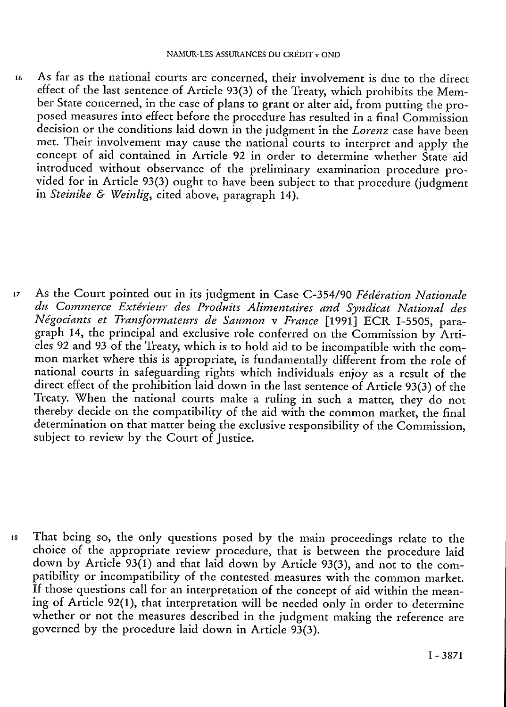<sup>16</sup> As far as the national courts are concerned, their involvement is due to the direct effect of the last sentence of Article 93(3) of the Treaty, which prohibits the Member State concerned, in the case of plans to grant or alter aid, from putting the proposed measures into effect before the procedure has resulted in a final Commission decision or the conditions laid down in the judgment in the *Lorenz* case have been met. Their involvement may cause the national courts to interpret and apply the concept of aid contained in Article 92 in order to determine whether State aid introduced without observance of the preliminary examination procedure provided for in Article 93(3) ought to have been subject to that procedure (judgment in *Steinike & Weinlig,* cited above, paragraph 14).

<sup>17</sup> As the Court pointed out in its judgment in Case C-354/90 *Fédération Nationale du Commerce Extérieur des Produits Alimentaires and Syndicat National des Négociants et Transformateurs de Saumon* v *France* [1991] ECR I-5505, paragraph 14, the principal and exclusive role conferred on the Commission by Articles 92 and 93 of the Treaty, which is to hold aid to be incompatible with the common market where this is appropriate, is fundamentally different from the role of national courts in safeguarding rights which individuals enjoy as a result of the direct effect of the prohibition laid down in the last sentence of Article 93(3) of the Treaty. When the national courts make a ruling in such a matter, they do not thereby decide on the compatibility of the aid with the common market, the final determination on that matter being the exclusive responsibility of the Commission, subject to review by the Court of Justice.

<sup>18</sup> That being so, the only questions posed by the main proceedings relate to the choice of the appropriate review procedure, that is between the procedure laid down by Article 93(1) and that laid down by Article 93(3), and not to the compatibility or incompatibility of the contested measures with the common market. If those questions call for an interpretation of the concept of aid within the meaning of Article 92(1), that interpretation will be needed only in order to determine whether or not the measures described in the judgment making the reference are governed by the procedure laid down in Article 93(3).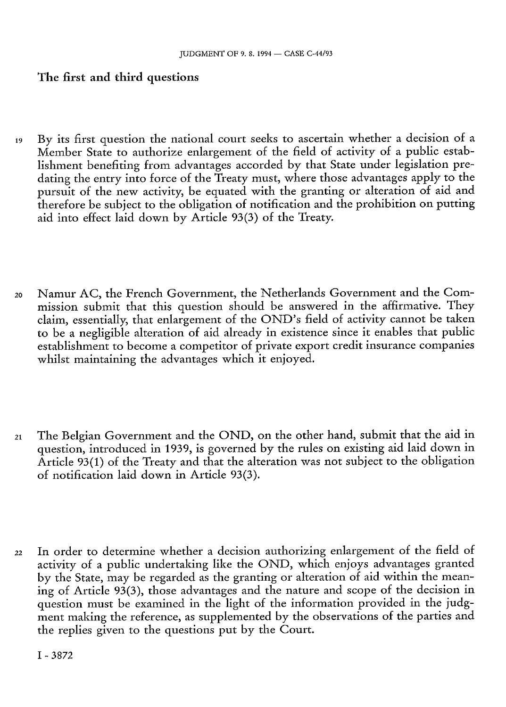# **The first and third questions**

- 19 By its first question the national court seeks to ascertain whether a decision of a Member State to authorize enlargement of the field of activity of a public establishment benefiting from advantages accorded by that State under legislation predating the entry into force of the Treaty must, where those advantages apply to the pursuit of the new activity, be equated with the granting or alteration of aid and therefore be subject to the obligation of notification and the prohibition on putting aid into effect laid down by Article 93(3) of the Treaty.
- <sup>20</sup> Namur AC, the French Government, the Netherlands Government and the Commission submit that this question should be answered in the affirmative. They claim, essentially, that enlargement of the OND's field of activity cannot be taken to be <sup>a</sup> negligible alteration of aid already in existence since it enables that public establishment to become a competitor of private export credit insurance companies whilst maintaining the advantages which it enjoved.
- <sup>21</sup> The Belgian Government and the OND, on the other hand, submit that the aid in question, introduced in 1939, is governed by the rules on existing aid laid down in Article 93(1) of the Treaty and that the alteration was not subject to the obligation of notification laid down in Article 93(3).
- <sup>22</sup> In order to determine whether a decision authorizing enlargement of the field of activity of a public undertaking like the OND, which enjoys advantages granted by the State, may be regarded as the granting or alteration of aid within the meaning of Article 93(3), those advantages and the nature and scope of the decision in question must be examined in the light of the information provided in the judgment making the reference, as supplemented by the observations of the parties and the replies given to the questions put by the Court.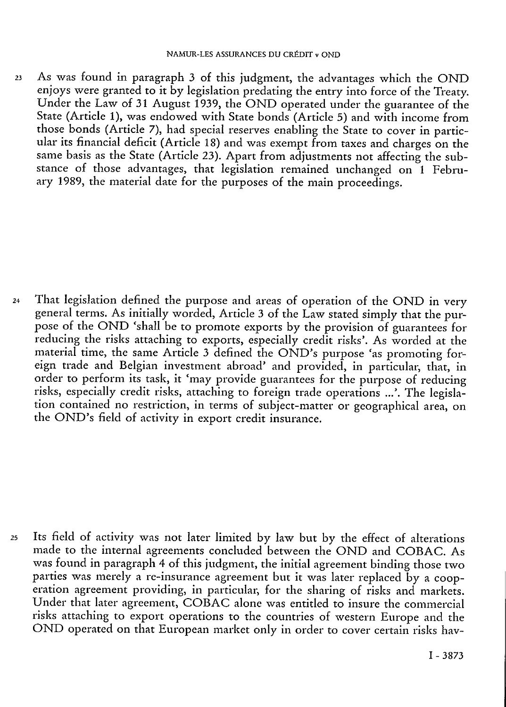<sup>23</sup> As was found in paragraph 3 of this judgment, the advantages which the OND enjoys were granted to it by legislation predating the entry into force of the Treaty. Under the Law of 31 August 1939, the OND operated under the guarantee of the State (Article 1), was endowed with State bonds (Article 5) and with income from those bonds (Article 7), had special reserves enabling the State to cover in particular its financial deficit (Article 18) and was exempt from taxes and charges on the same basis as the State (Article 23). Apart from adjustments not affecting the substance of those advantages, that legislation remained unchanged on 1 February 1989, the material date for the purposes of the main proceedings.

<sup>24</sup> That legislation defined the purpose and areas of operation of the OND in very general terms. As initially worded, Article 3 of the Law stated simply that the purpose of the OND 'shall be to promote exports by the provision of guarantees for reducing the risks attaching to exports, especially credit risks'. As worded at the material time, the same Article 3 defined the OND's purpose 'as promoting foreign trade and Belgian investment abroad' and provided, in particular, that, in order to perform its task, it 'may provide guarantees for the purpose of reducing risks, especially credit risks, attaching to foreign trade operations ...'. The legislation contained no restriction, in terms of subject-matter or geographical area, on the OND's field of activity in export credit insurance.

<sup>25</sup> Its field of activity was not later limited by law but by the effect of alterations made to the internal agreements concluded between the OND and COBAC. As was found in paragraph 4 of this judgment, the initial agreement binding those two parties was merely a re-insurance agreement but it was later replaced by a cooperation agreement providing, in particular, for the sharing of risks and markets. Under that later agreement, COBAC alone was entitled to insure the commercial risks attaching to export operations to the countries of western Europe and the OND operated on that European market only in order to cover certain risks hav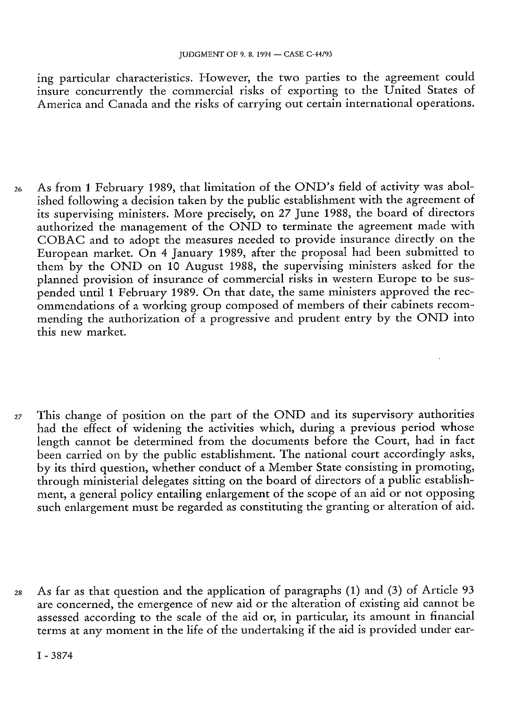ing particular characteristics. However, the two parties to the agreement could insure concurrently the commercial risks of exporting to the United States of America and Canada and the risks of carrying out certain international operations.

- <sup>26</sup> As from 1 February 1989, that limitation of the OND's field of activity was abolished following a decision taken by the public establishment with the agreement of its supervising ministers. More precisely, on 27 June 1988, the board of directors authorized the management of the OND to terminate the agreement made with COBAC and to adopt the measures needed to provide insurance directly on the European market. On 4 January 1989, after the proposal had been submitted to them by the OND on 10 August 1988, the supervising ministers asked for the planned provision of insurance of commercial risks in western Europe to be suspended until 1 February 1989. On that date, the same ministers approved the recommendations of a working group composed of members of their cabinets recommending the authorization of a progressive and prudent entry by the OND into this new market.
- <sup>27</sup> This change of position on the part of the OND and its supervisory authorities had the effect of widening the activities which, during a previous period whose length cannot be determined from the documents before the Court, had in fact been carried on by the public establishment. The national court accordingly asks, by its third question, whether conduct of a Member State consisting in promoting, through ministerial delegates sitting on the board of directors of a public establishment, a general policy entailing enlargement of the scope of an aid or not opposing such enlargement must be regarded as constituting the granting or alteration of aid.
- <sup>28</sup> As far as that question and the application of paragraphs (1) and (3) of Article 93 are concerned, the emergence of new aid or the alteration of existing aid cannot be assessed according to the scale of the aid or, in particular, its amount in financial terms at any moment in the life of the undertaking if the aid is provided under ear-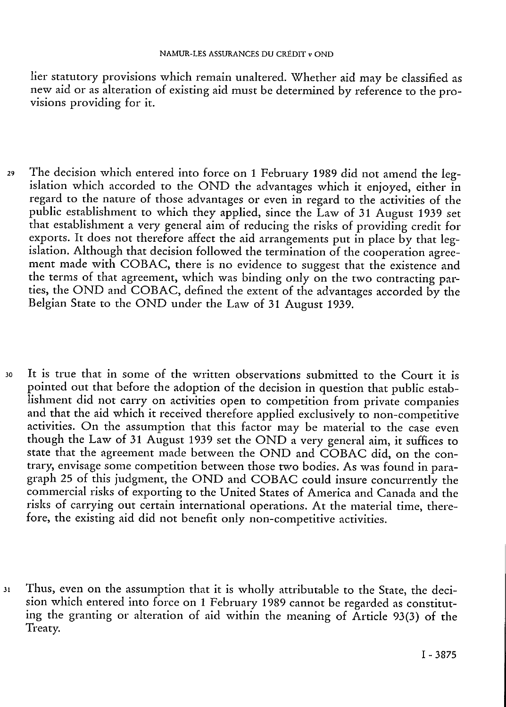lier statutory provisions which remain unaltered. Whether aid may be classified as new aid or as alteration of existing aid must be determined by reference to the provisions providing for it.

- <sup>29</sup> The decision which entered into force on 1 February 1989 did not amend the legislation which accorded to the OND the advantages which it enjoyed, either in regard to the nature of those advantages or even in regard to the activities of the public establishment to which they applied, since the Law of 31 August 1939 set that establishment <sup>a</sup> very general aim of reducing the risks of providing credit for exports. It does not therefore affect the aid arrangements put in place by that legislation. Although that decision followed the termination of the cooperation agreement made with COBAC, there is no evidence to suggest that the existence and the terms of that agreement, which was binding only on the two contracting parties, the OND and COBAC, defined the extent of the advantages accorded by the Belgian State to the OND under the Law of 31 August 1939.
- <sup>30</sup> It is true that in some of the written observations submitted to the Court it is pointed out that before the adoption of the decision in question that public establishment did not carry on activities open to competition from private companies and that the aid which it received therefore applied exclusively to non-competitive activities. On the assumption that this factor may be material to the case even though the Law of 31 August 1939 set the OND a very general aim, it suffices to state that the agreement made between the OND and COBAC did, on the contrary, envisage some competition between those two bodies. As was found in paragraph 25 of this judgment, the OND and COBAC could insure concurrently the commercial risks of exporting to the United States of America and Canada and the risks of carrying out certain international operations. At the material time, therefore, the existing aid did not benefit only non-competitive activities.
- <sup>31</sup> Thus, even on the assumption that it is wholly attributable to the State, the decision which entered into force on 1 February 1989 cannot be regarded as constituting the granting or alteration of aid within the meaning of Article 93(3) of the Treaty.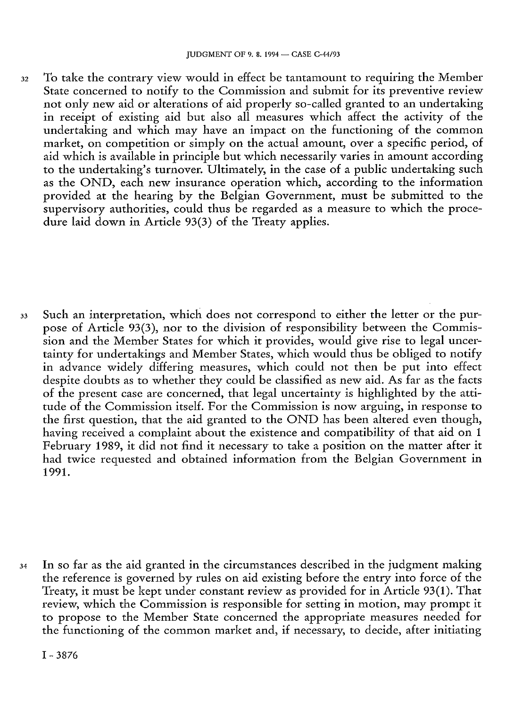<sup>32</sup> To take the contrary view would in effect be tantamount to requiring the Member State concerned to notify to the Commission and submit for its preventive review not only new aid or alterations of aid properly so-called granted to an undertaking in receipt of existing aid but also all measures which affect the activity of the undertaking and which may have an impact on the functioning of the common market, on competition or simply on the actual amount, over a specific period, of aid which is available in principle but which necessarily varies in amount according to the undertaking's turnover. Ultimately, in the case of a public undertaking such as the OND, each new insurance operation which, according to the information provided at the hearing by the Belgian Government, must be submitted to the supervisory authorities, could thus be regarded as a measure to which the procedure laid down in Article 93(3) of the Treaty applies.

<sup>33</sup> Such an interpretation, which does not correspond to either the letter or the purpose of Article 93(3), nor to the division of responsibility between the Commission and the Member States for which it provides, would give rise to legal uncertainty for undertakings and Member States, which would thus be obliged to notify in advance widely differing measures, which could not then be put into effect despite doubts as to whether they could be classified as new aid. As far as the facts of the present case are concerned, that legal uncertainty is highlighted by the attitude of the Commission itself. For the Commission is now arguing, in response to the first question, that the aid granted to the OND has been altered even though, having received a complaint about the existence and compatibility of that aid on 1 February 1989, it did not find it necessary to take a position on the matter after it had twice requested and obtained information from the Belgian Government in 1991.

<sup>34</sup> In so far as the aid granted in the circumstances described in the judgment making the reference is governed by rules on aid existing before the entry into force of the Treaty, it must be kept under constant review as provided for in Article 93(1). That review, which the Commission is responsible for setting in motion, may prompt it to propose to the Member State concerned the appropriate measures needed for the functioning of the common market and, if necessary, to decide, after initiating

I - <sup>3876</sup>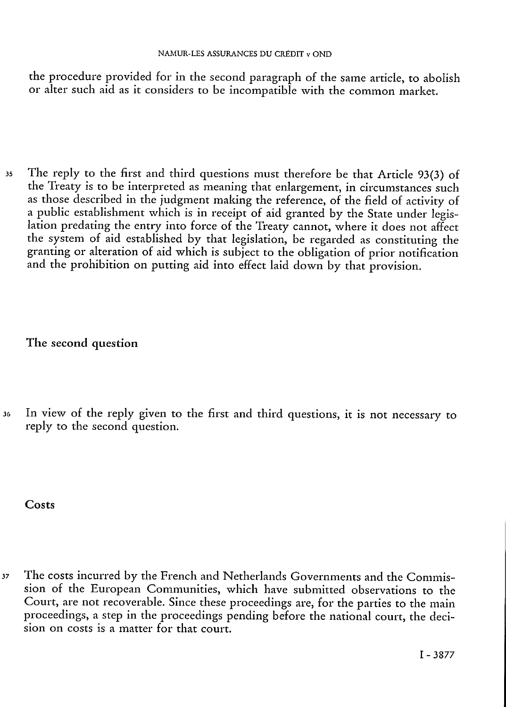the procedure provided for in the second paragraph of the same article, to abolish or alter such aid as it considers to be incompatible with the common market.

<sup>35</sup> The reply to the first and third questions must therefore be that Article 93(3) of the Treaty is to be interpreted as meaning that enlargement, in circumstances such as those described in the judgment making the reference, of the field of activity of a public establishment which is in receipt of aid granted by the State under legislation predating the entry into force of the Treaty cannot, where it does not affect the system of aid established by that legislation, be regarded as constituting the granting or alteration of aid which is subject to the obligation of prior notification and the prohibition on putting aid into effect laid down by that provision.

The second question

<sup>36</sup> In view of the reply given to the first and third questions, it is not necessary to reply to the second question.

Costs

<sup>37</sup> The costs incurred by the French and Netherlands Governments and the Commission of the European Communities, which have submitted observations to the Court, are not recoverable. Since these proceedings are, for the parties to the main proceedings, a step in the proceedings pending before the national court, the decision on costs is a matter for that court.